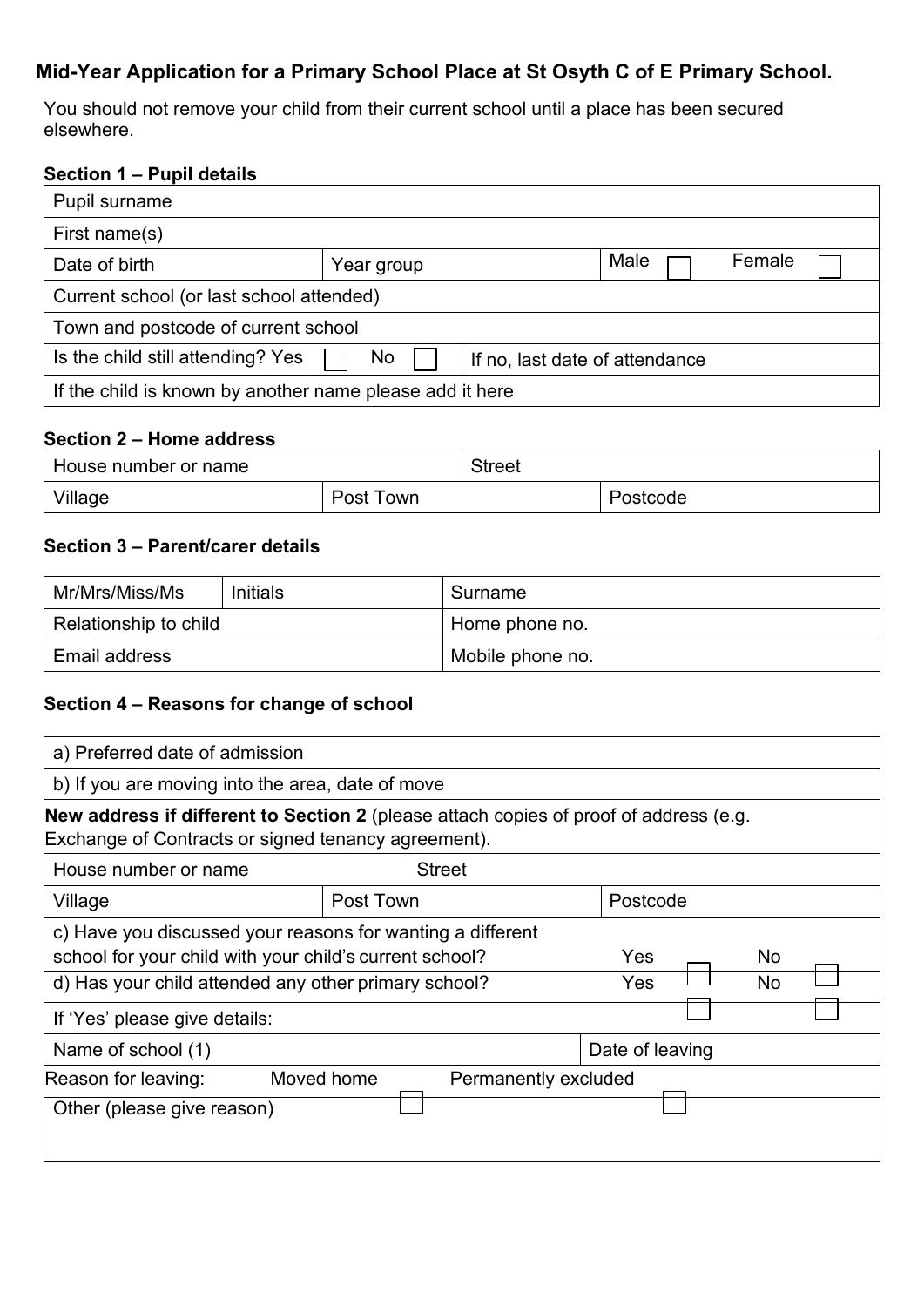## **Mid-Year Application for a Primary School Place at St Osyth C of E Primary School.**

You should not remove your child from their current school until a place has been secured elsewhere.

### **Section 1 – Pupil details**

| Pupil surname                                                             |            |  |      |        |  |
|---------------------------------------------------------------------------|------------|--|------|--------|--|
| First name(s)                                                             |            |  |      |        |  |
| Date of birth                                                             | Year group |  | Male | Female |  |
| Current school (or last school attended)                                  |            |  |      |        |  |
| Town and postcode of current school                                       |            |  |      |        |  |
| Is the child still attending? Yes<br>No<br>If no, last date of attendance |            |  |      |        |  |
| If the child is known by another name please add it here                  |            |  |      |        |  |

## **Section 2 – Home address**

| House number or name |           | <b>Street</b> |          |
|----------------------|-----------|---------------|----------|
| Village              | Post Town |               | Postcode |

#### **Section 3 – Parent/carer details**

| Mr/Mrs/Miss/Ms        | Initials | Surname          |
|-----------------------|----------|------------------|
| Relationship to child |          | Home phone no.   |
| Email address         |          | Mobile phone no. |

## **Section 4 – Reasons for change of school**

| a) Preferred date of admission                                                                                                                                                |            |                      |                   |                 |  |
|-------------------------------------------------------------------------------------------------------------------------------------------------------------------------------|------------|----------------------|-------------------|-----------------|--|
| b) If you are moving into the area, date of move                                                                                                                              |            |                      |                   |                 |  |
| New address if different to Section 2 (please attach copies of proof of address (e.g.<br>Exchange of Contracts or signed tenancy agreement).                                  |            |                      |                   |                 |  |
| House number or name                                                                                                                                                          |            | <b>Street</b>        |                   |                 |  |
| Village                                                                                                                                                                       | Post Town  |                      | Postcode          |                 |  |
| c) Have you discussed your reasons for wanting a different<br>school for your child with your child's current school?<br>d) Has your child attended any other primary school? |            |                      | <b>Yes</b><br>Yes | <b>No</b><br>No |  |
| If 'Yes' please give details:                                                                                                                                                 |            |                      |                   |                 |  |
| Name of school (1)                                                                                                                                                            |            | Date of leaving      |                   |                 |  |
| Reason for leaving:<br>Other (please give reason)                                                                                                                             | Moved home | Permanently excluded |                   |                 |  |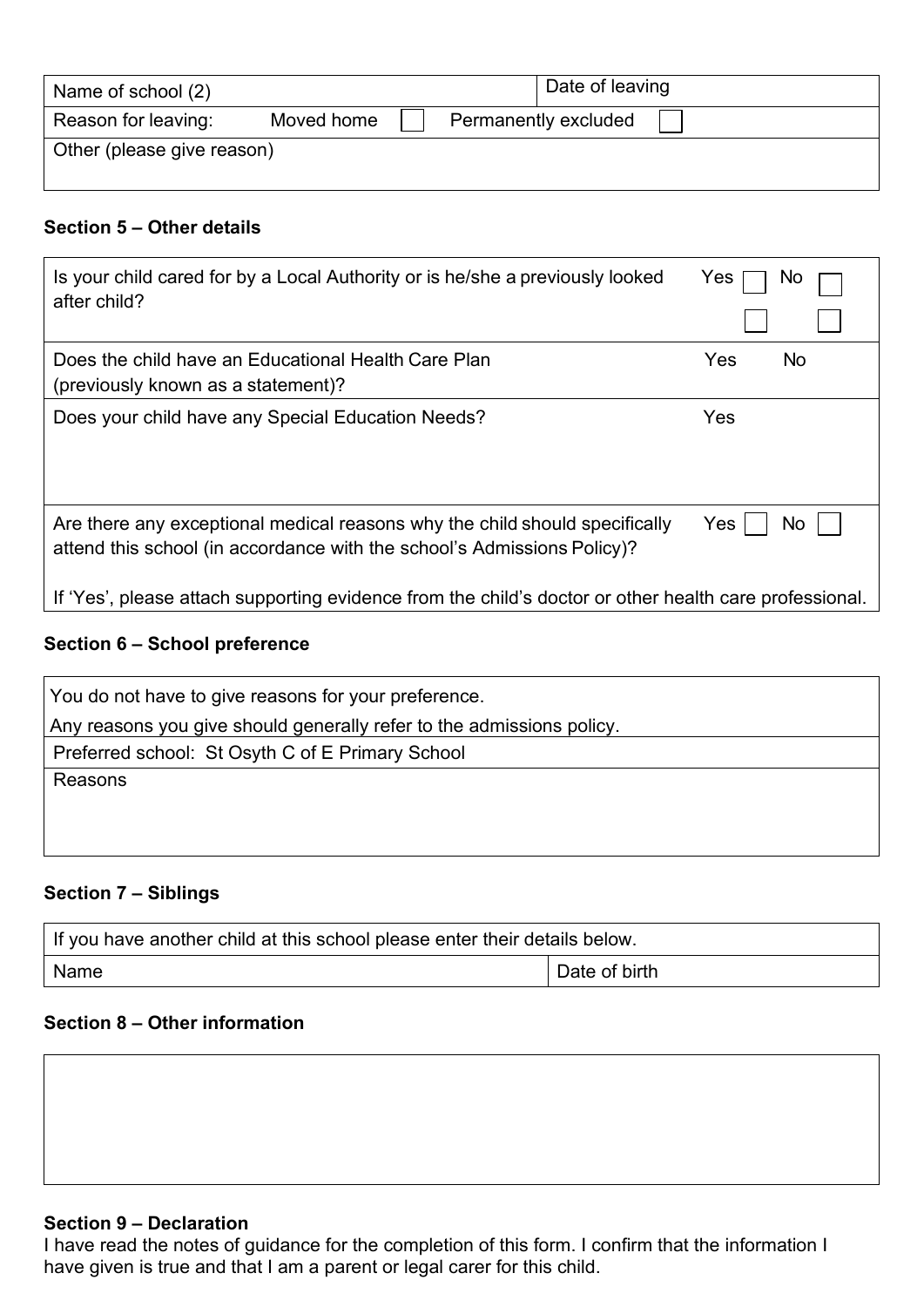| Name of school (2)         |            |  | Date of leaving      |  |
|----------------------------|------------|--|----------------------|--|
| Reason for leaving:        | Moved home |  | Permanently excluded |  |
| Other (please give reason) |            |  |                      |  |

#### **Section 5 – Other details**

| Is your child cared for by a Local Authority or is he/she a previously looked                          | Yes |
|--------------------------------------------------------------------------------------------------------|-----|
| after child?                                                                                           | NC  |
| Does the child have an Educational Health Care Plan                                                    | Yes |
| (previously known as a statement)?                                                                     | No. |
| Does your child have any Special Education Needs?                                                      | Yes |
| Are there any exceptional medical reasons why the child should specifically                            | Yes |
| attend this school (in accordance with the school's Admissions Policy)?                                | No. |
| If 'Yes', please attach supporting evidence from the child's doctor or other health care professional. |     |

## **Section 6 – School preference**

| You do not have to give reasons for your preference.                  |
|-----------------------------------------------------------------------|
| Any reasons you give should generally refer to the admissions policy. |
| Preferred school: St Osyth C of E Primary School                      |
| Reasons                                                               |
|                                                                       |
|                                                                       |

## **Section 7 – Siblings**

| If you have another child at this school please enter their details below. |               |  |  |
|----------------------------------------------------------------------------|---------------|--|--|
| Name                                                                       | Date of birth |  |  |

#### **Section 8 – Other information**

#### **Section 9 – Declaration**

I have read the notes of guidance for the completion of this form. I confirm that the information I have given is true and that I am a parent or legal carer for this child.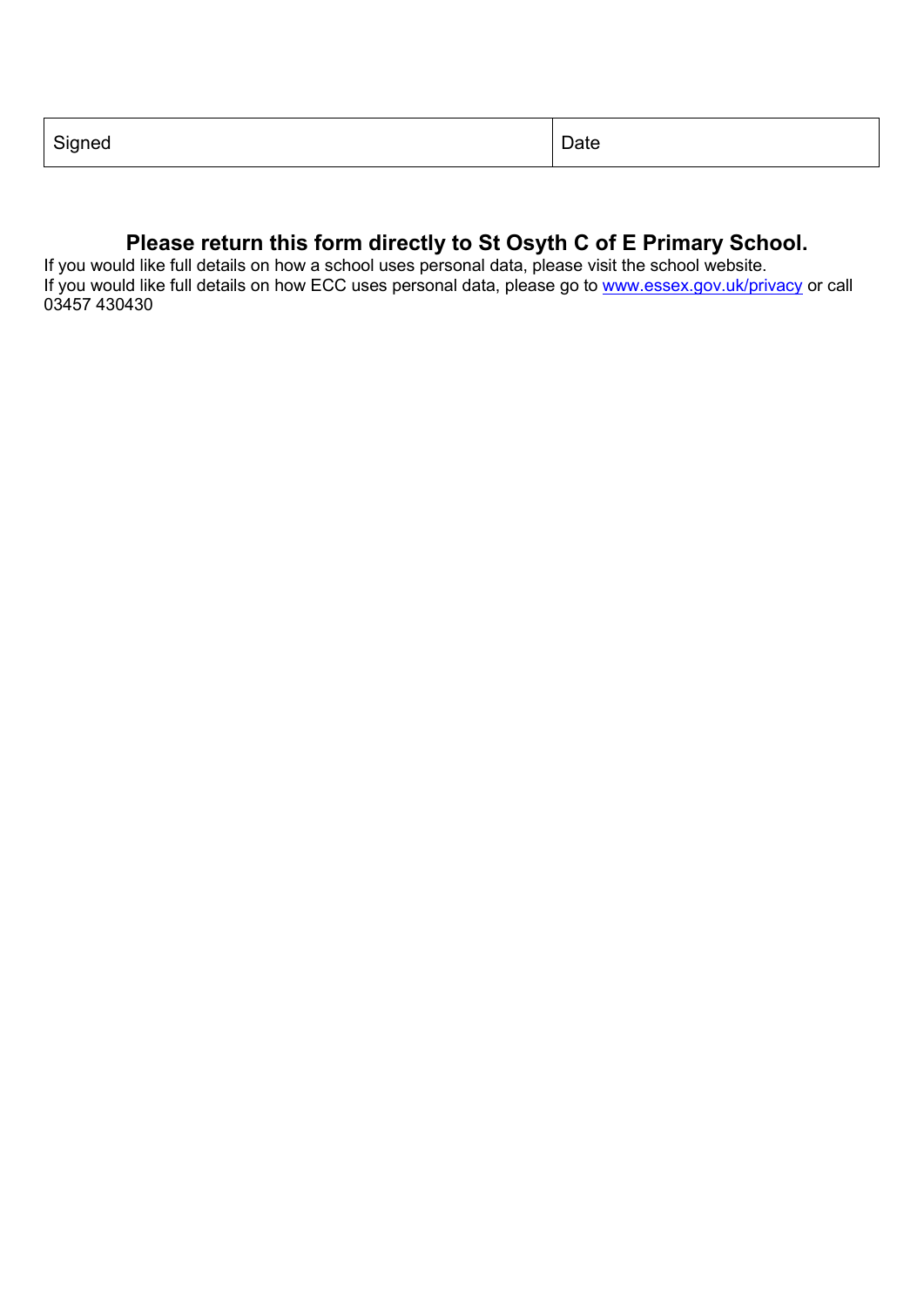| $\sim$ :<br>Signea<br>ັ | aw |
|-------------------------|----|
|-------------------------|----|

# **Please return this form directly to St Osyth C of E Primary School.**

If you would like full details on how a school uses personal data, please visit the school website. If you would like full details on how ECC uses personal data, please go to <u>www.essex.gov.uk/privacy</u> or call 03457 430430